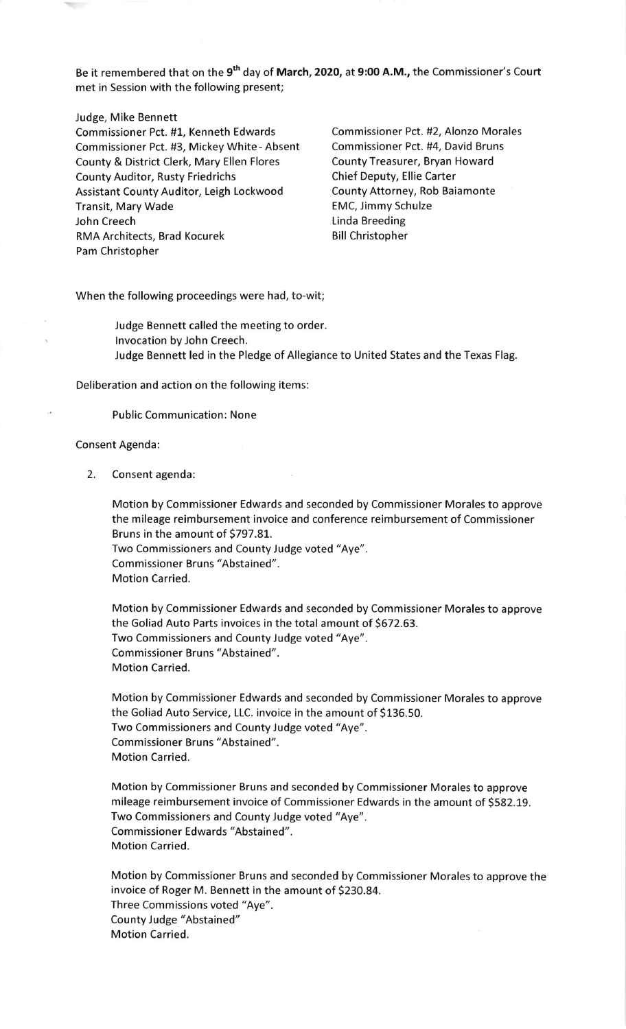Be it remembered that on the 9<sup>th</sup> day of March, 2020, at 9:00 A.M., the Commissioner's Court met in Session with the following present;

## Judge, Mike Bennett

Commissioner Pct. #1, Kenneth Edwards Commissioner Pct. #2, Alonzo Morales Commissioner Pct. #3, Mickey White - Absent Commissioner Pct. #4, David Bruns County & District Clerk, Mary Ellen Flores County Treasurer, Bryan Howard County Auditor, Rusty Friedrichs Chief Deputy, Ellie Carter Assistant County Auditor, Leigh Lockwood County Attorney, Rob Baiamonte Transit, Mary Wade **EMC, Immy Schulze** John Creech **Linda Breeding** RMA Architects, Brad Kocurek Bill Christopher Pam Christopher

When the following proceedings were had, to-wit;

Judge Bennett called the meeting to order. lnvocation by John Creech. Judge Bennett led in the Pledge of Allegiance to United States and the Texas Flag.

Deliberation and action on the following items:

Public Communication: None

## Consent Agenda:

2. Consent agenda:

Motion by Commissioner Edwards and seconded by Commissioner Morales to approve the mileage reimbursement invoice and conference reimbursement of Commissioner Bruns in the amount of 5797.81. Two Commissioners and County Judge voted "Aye". Commissioner Bruns "Abstained".

Motion Carried.

Motion by Commissioner Edwards and seconded by Commissioner Morales to approve the Goliad Auto Parts invoices in the total amount of 5672.63. Two Commissioners and County Judge voted "Aye". Commissioner Bruns "Abstained". Motion Carried.

Motion by Commissioner Edwards and seconded by Commissioner Morales to approve the Goliad Auto Service, LLC. invoice in the amount of \$136.50. Two Commissioners and County Judge voted "Aye". Commissioner Bruns "Abstained". Motion Carried.

Motion by Commissioner Bruns and seconded by Commissioner Morales to approve mileage reimbursement invoice of Commissioner Edwards in the amount of 5582.19. Two Commissioners and County Judge voted "Aye". Commissioner Edwards "Abstained". Motion Carried.

Motion by Commissioner Bruns and seconded by Commissioner Morales to approve the invoice of Roger M. Bennett in the amount of \$230.84. Three Commissions voted "Aye". County Judge "Abstained" Motion Carried.